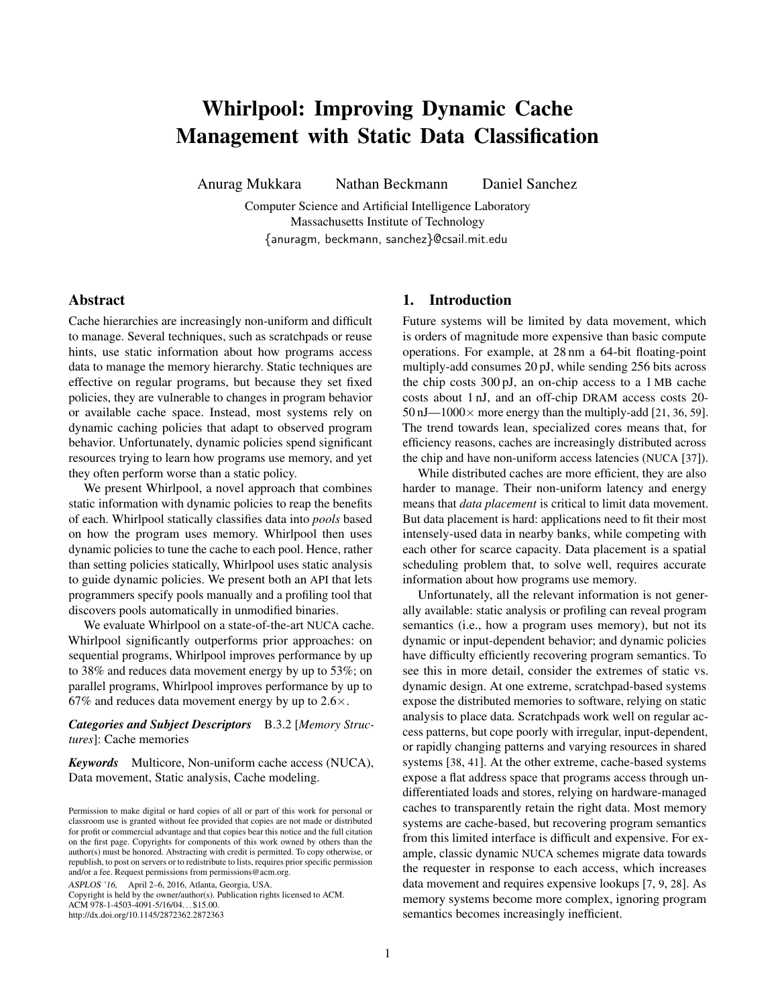# Whirlpool: Improving Dynamic Cache Management with Static Data Classification

Anurag Mukkara Nathan Beckmann Daniel Sanchez

Computer Science and Artificial Intelligence Laboratory Massachusetts Institute of Technology {anuragm, beckmann, sanchez}@csail.mit.edu

# Abstract

Cache hierarchies are increasingly non-uniform and difficult to manage. Several techniques, such as scratchpads or reuse hints, use static information about how programs access data to manage the memory hierarchy. Static techniques are effective on regular programs, but because they set fixed policies, they are vulnerable to changes in program behavior or available cache space. Instead, most systems rely on dynamic caching policies that adapt to observed program behavior. Unfortunately, dynamic policies spend significant resources trying to learn how programs use memory, and yet they often perform worse than a static policy.

We present Whirlpool, a novel approach that combines static information with dynamic policies to reap the benefits of each. Whirlpool statically classifies data into *pools* based on how the program uses memory. Whirlpool then uses dynamic policies to tune the cache to each pool. Hence, rather than setting policies statically, Whirlpool uses static analysis to guide dynamic policies. We present both an API that lets programmers specify pools manually and a profiling tool that discovers pools automatically in unmodified binaries.

We evaluate Whirlpool on a state-of-the-art NUCA cache. Whirlpool significantly outperforms prior approaches: on sequential programs, Whirlpool improves performance by up to 38% and reduces data movement energy by up to 53%; on parallel programs, Whirlpool improves performance by up to 67% and reduces data movement energy by up to  $2.6 \times$ .

*Categories and Subject Descriptors* B.3.2 [*Memory Structures*]: Cache memories

*Keywords* Multicore, Non-uniform cache access (NUCA), Data movement, Static analysis, Cache modeling.

ASPLOS '16, April 2–6, 2016, Atlanta, Georgia, USA.

Copyright is held by the owner/author(s). Publication rights licensed to ACM. ACM 978-1-4503-4091-5/16/04. . . \$15.00. http://dx.doi.org/10.1145/2872362.2872363

# 1. Introduction

Future systems will be limited by data movement, which is orders of magnitude more expensive than basic compute operations. For example, at 28 nm a 64-bit floating-point multiply-add consumes 20 pJ, while sending 256 bits across the chip costs 300 pJ, an on-chip access to a 1 MB cache costs about 1 nJ, and an off-chip DRAM access costs 20-  $50 \text{ nJ}$ — $1000 \times$  more energy than the multiply-add [[21](#page-13-0), [36](#page-13-1), [59](#page-14-0)]. The trend towards lean, specialized cores means that, for efficiency reasons, caches are increasingly distributed across the chip and have non-uniform access latencies (NUCA [[37](#page-13-2)]).

While distributed caches are more efficient, they are also harder to manage. Their non-uniform latency and energy means that *data placement* is critical to limit data movement. But data placement is hard: applications need to fit their most intensely-used data in nearby banks, while competing with each other for scarce capacity. Data placement is a spatial scheduling problem that, to solve well, requires accurate information about how programs use memory.

Unfortunately, all the relevant information is not generally available: static analysis or profiling can reveal program semantics (i.e., how a program uses memory), but not its dynamic or input-dependent behavior; and dynamic policies have difficulty efficiently recovering program semantics. To see this in more detail, consider the extremes of static vs. dynamic design. At one extreme, scratchpad-based systems expose the distributed memories to software, relying on static analysis to place data. Scratchpads work well on regular access patterns, but cope poorly with irregular, input-dependent, or rapidly changing patterns and varying resources in shared systems [[38](#page-13-3), [41](#page-14-1)]. At the other extreme, cache-based systems expose a flat address space that programs access through undifferentiated loads and stores, relying on hardware-managed caches to transparently retain the right data. Most memory systems are cache-based, but recovering program semantics from this limited interface is difficult and expensive. For example, classic dynamic NUCA schemes migrate data towards the requester in response to each access, which increases data movement and requires expensive lookups [[7](#page-13-4), [9](#page-13-5), [28](#page-13-6)]. As memory systems become more complex, ignoring program semantics becomes increasingly inefficient.

Permission to make digital or hard copies of all or part of this work for personal or classroom use is granted without fee provided that copies are not made or distributed for profit or commercial advantage and that copies bear this notice and the full citation on the first page. Copyrights for components of this work owned by others than the author(s) must be honored. Abstracting with credit is permitted. To copy otherwise, or republish, to post on servers or to redistribute to lists, requires prior specific permission and/or a fee. Request permissions from permissions@acm.org.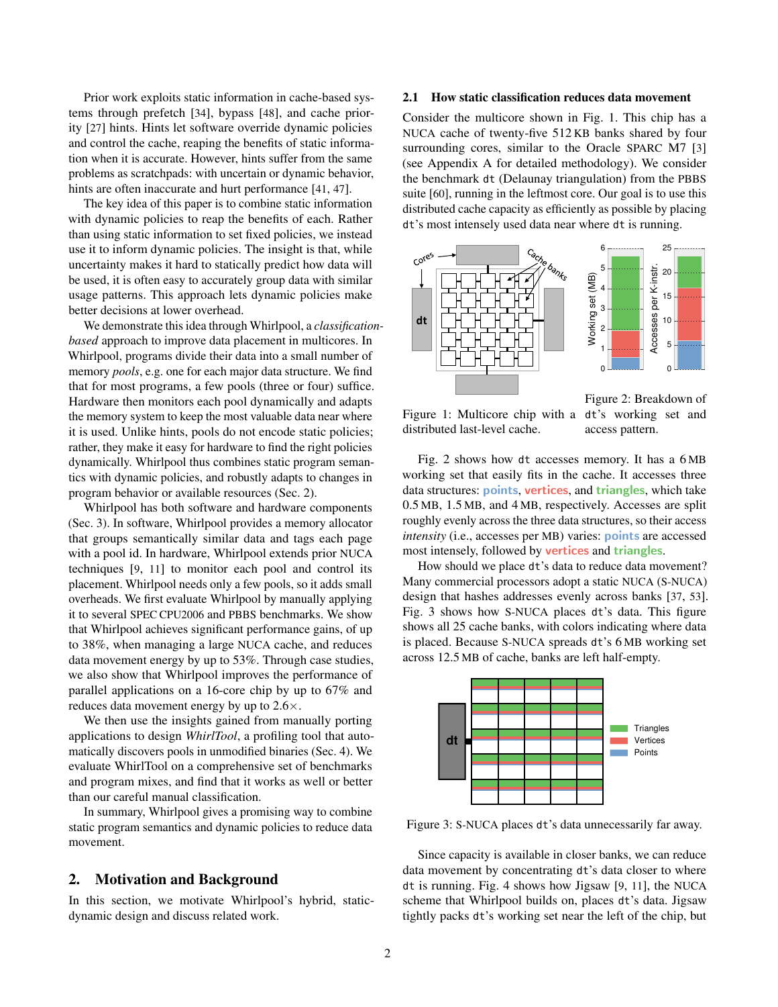Prior work exploits static information in cache-based systems through prefetch [[34](#page-13-7)], bypass [[48](#page-14-2)], and cache priority [[27](#page-13-8)] hints. Hints let software override dynamic policies and control the cache, reaping the benefits of static information when it is accurate. However, hints suffer from the same problems as scratchpads: with uncertain or dynamic behavior, hints are often inaccurate and hurt performance [[41](#page-14-1), [47](#page-14-3)].

The key idea of this paper is to combine static information with dynamic policies to reap the benefits of each. Rather than using static information to set fixed policies, we instead use it to inform dynamic policies. The insight is that, while uncertainty makes it hard to statically predict how data will be used, it is often easy to accurately group data with similar usage patterns. This approach lets dynamic policies make better decisions at lower overhead.

We demonstrate this idea through Whirlpool, a *classificationbased* approach to improve data placement in multicores. In Whirlpool, programs divide their data into a small number of memory *pools*, e.g. one for each major data structure. We find that for most programs, a few pools (three or four) suffice. Hardware then monitors each pool dynamically and adapts the memory system to keep the most valuable data near where it is used. Unlike hints, pools do not encode static policies; rather, they make it easy for hardware to find the right policies dynamically. Whirlpool thus combines static program semantics with dynamic policies, and robustly adapts to changes in program behavior or available resources [\(Sec. 2\)](#page-1-0).

Whirlpool has both software and hardware components [\(Sec. 3\)](#page-4-0). In software, Whirlpool provides a memory allocator that groups semantically similar data and tags each page with a pool id. In hardware, Whirlpool extends prior NUCA techniques [[9](#page-13-5), [11](#page-13-9)] to monitor each pool and control its placement. Whirlpool needs only a few pools, so it adds small overheads. We first evaluate Whirlpool by manually applying it to several SPEC CPU2006 and PBBS benchmarks. We show that Whirlpool achieves significant performance gains, of up to 38%, when managing a large NUCA cache, and reduces data movement energy by up to 53%. Through case studies, we also show that Whirlpool improves the performance of parallel applications on a 16-core chip by up to 67% and reduces data movement energy by up to 2.6×.

We then use the insights gained from manually porting applications to design *WhirlTool*, a profiling tool that automatically discovers pools in unmodified binaries [\(Sec. 4\)](#page-7-0). We evaluate WhirlTool on a comprehensive set of benchmarks and program mixes, and find that it works as well or better than our careful manual classification.

In summary, Whirlpool gives a promising way to combine static program semantics and dynamic policies to reduce data movement.

## <span id="page-1-0"></span>2. Motivation and Background

In this section, we motivate Whirlpool's hybrid, staticdynamic design and discuss related work.

# 2.1 How static classification reduces data movement

Consider the multicore shown in [Fig. 1.](#page-1-1) This chip has a NUCA cache of twenty-five 512 KB banks shared by four surrounding cores, similar to the Oracle SPARC M7 [[3](#page-13-10)] (see [Appendix A](#page-11-0) for detailed methodology). We consider the benchmark dt (Delaunay triangulation) from the PBBS suite [[60](#page-14-4)], running in the leftmost core. Our goal is to use this distributed cache capacity as efficiently as possible by placing dt's most intensely used data near where dt is running.

<span id="page-1-1"></span>

Figure 1: Multicore chip with a dt's working set and distributed last-level cache.

access pattern.

[Fig. 2](#page-1-1) shows how dt accesses memory. It has a 6 MB working set that easily fits in the cache. It accesses three data structures: points, vertices, and triangles, which take 0.5 MB, 1.5 MB, and 4 MB, respectively. Accesses are split roughly evenly across the three data structures, so their access *intensity* (i.e., accesses per MB) varies: **points** are accessed most intensely, followed by **vertices** and **triangles**.

How should we place dt's data to reduce data movement? Many commercial processors adopt a static NUCA (S-NUCA) design that hashes addresses evenly across banks [[37](#page-13-2), [53](#page-14-5)]. [Fig. 3](#page-1-2) shows how S-NUCA places dt's data. This figure shows all 25 cache banks, with colors indicating where data is placed. Because S-NUCA spreads dt's 6 MB working set across 12.5 MB of cache, banks are left half-empty.

<span id="page-1-2"></span>

Figure 3: S-NUCA places dt's data unnecessarily far away.

Since capacity is available in closer banks, we can reduce data movement by concentrating dt's data closer to where dt is running. [Fig. 4](#page-2-0) shows how Jigsaw [[9](#page-13-5), [11](#page-13-9)], the NUCA scheme that Whirlpool builds on, places dt's data. Jigsaw tightly packs dt's working set near the left of the chip, but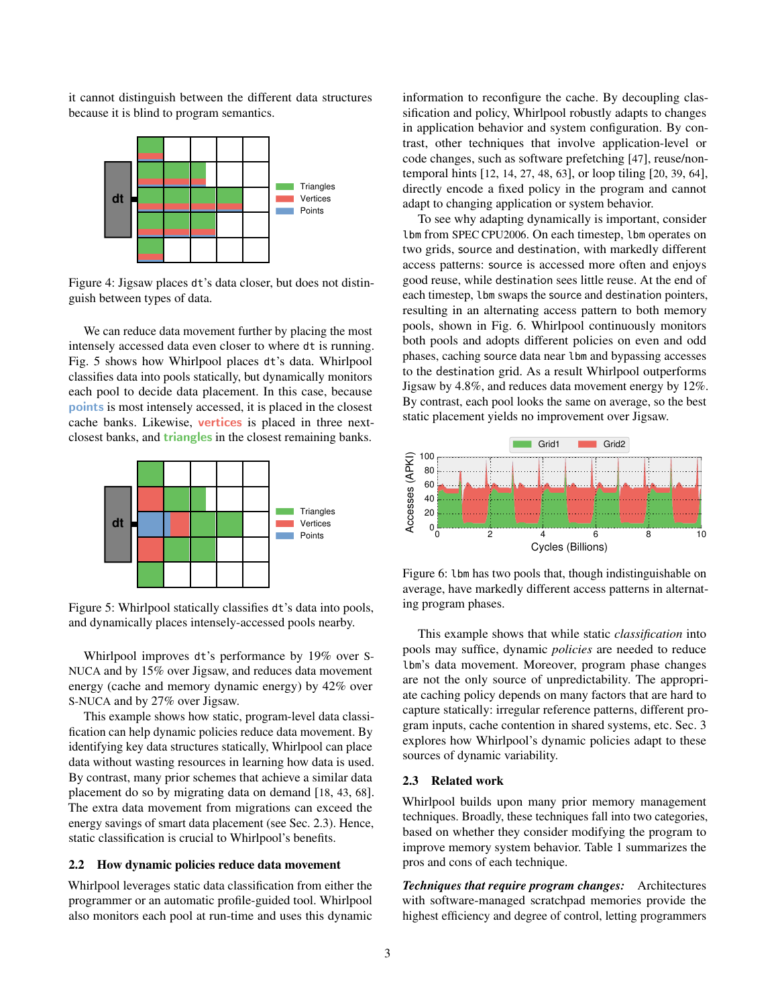it cannot distinguish between the different data structures because it is blind to program semantics.

<span id="page-2-0"></span>

Figure 4: Jigsaw places dt's data closer, but does not distinguish between types of data.

We can reduce data movement further by placing the most intensely accessed data even closer to where dt is running. [Fig. 5](#page-2-1) shows how Whirlpool places dt's data. Whirlpool classifies data into pools statically, but dynamically monitors each pool to decide data placement. In this case, because points is most intensely accessed, it is placed in the closest cache banks. Likewise, vertices is placed in three nextclosest banks, and **triangles** in the closest remaining banks.

<span id="page-2-1"></span>

Figure 5: Whirlpool statically classifies dt's data into pools, and dynamically places intensely-accessed pools nearby.

Whirlpool improves dt's performance by 19% over S-NUCA and by 15% over Jigsaw, and reduces data movement energy (cache and memory dynamic energy) by 42% over S-NUCA and by 27% over Jigsaw.

This example shows how static, program-level data classification can help dynamic policies reduce data movement. By identifying key data structures statically, Whirlpool can place data without wasting resources in learning how data is used. By contrast, many prior schemes that achieve a similar data placement do so by migrating data on demand [[18](#page-13-11), [43](#page-14-6), [68](#page-14-7)]. The extra data movement from migrations can exceed the energy savings of smart data placement (see [Sec. 2.3\)](#page-2-2). Hence, static classification is crucial to Whirlpool's benefits.

#### <span id="page-2-4"></span>2.2 How dynamic policies reduce data movement

Whirlpool leverages static data classification from either the programmer or an automatic profile-guided tool. Whirlpool also monitors each pool at run-time and uses this dynamic information to reconfigure the cache. By decoupling classification and policy, Whirlpool robustly adapts to changes in application behavior and system configuration. By contrast, other techniques that involve application-level or code changes, such as software prefetching [[47](#page-14-3)], reuse/nontemporal hints [[12](#page-13-12), [14](#page-13-13), [27](#page-13-8), [48](#page-14-2), [63](#page-14-8)], or loop tiling [[20](#page-13-14), [39](#page-13-15), [64](#page-14-9)], directly encode a fixed policy in the program and cannot adapt to changing application or system behavior.

To see why adapting dynamically is important, consider lbm from SPEC CPU2006. On each timestep, lbm operates on two grids, source and destination, with markedly different access patterns: source is accessed more often and enjoys good reuse, while destination sees little reuse. At the end of each timestep, lbm swaps the source and destination pointers, resulting in an alternating access pattern to both memory pools, shown in [Fig. 6.](#page-2-3) Whirlpool continuously monitors both pools and adopts different policies on even and odd phases, caching source data near lbm and bypassing accesses to the destination grid. As a result Whirlpool outperforms Jigsaw by 4.8%, and reduces data movement energy by 12%. By contrast, each pool looks the same on average, so the best static placement yields no improvement over Jigsaw.

<span id="page-2-3"></span>

Figure 6: lbm has two pools that, though indistinguishable on average, have markedly different access patterns in alternating program phases.

This example shows that while static *classification* into pools may suffice, dynamic *policies* are needed to reduce lbm's data movement. Moreover, program phase changes are not the only source of unpredictability. The appropriate caching policy depends on many factors that are hard to capture statically: irregular reference patterns, different program inputs, cache contention in shared systems, etc. [Sec. 3](#page-4-0) explores how Whirlpool's dynamic policies adapt to these sources of dynamic variability.

#### <span id="page-2-2"></span>2.3 Related work

Whirlpool builds upon many prior memory management techniques. Broadly, these techniques fall into two categories, based on whether they consider modifying the program to improve memory system behavior. [Table 1](#page-3-0) summarizes the pros and cons of each technique.

*Techniques that require program changes:* Architectures with software-managed scratchpad memories provide the highest efficiency and degree of control, letting programmers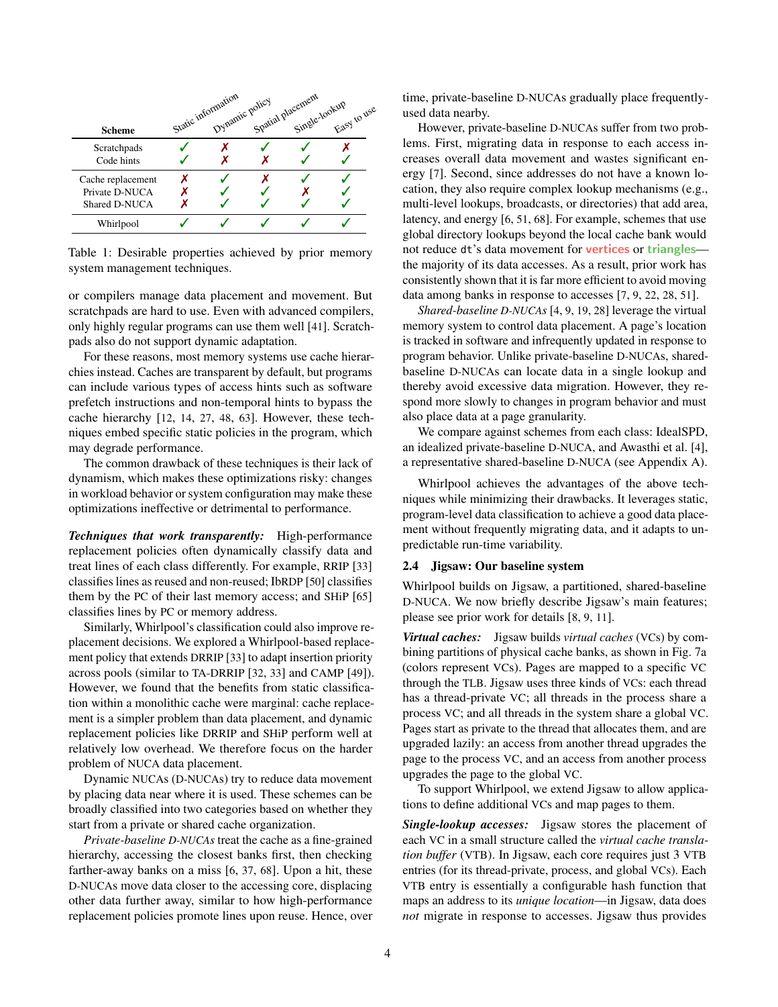<span id="page-3-0"></span>

|                   | Static information<br>Dynamic policy | Spatial placement<br>Single-lookup |             |
|-------------------|--------------------------------------|------------------------------------|-------------|
| <b>Scheme</b>     |                                      |                                    | Easy to nee |
| Scratchpads       |                                      |                                    |             |
| Code hints        |                                      |                                    |             |
| Cache replacement |                                      |                                    |             |
| Private D-NUCA    |                                      |                                    |             |
| Shared D-NUCA     |                                      |                                    |             |
| Whirlpool         |                                      |                                    |             |

Table 1: Desirable properties achieved by prior memory system management techniques.

or compilers manage data placement and movement. But scratchpads are hard to use. Even with advanced compilers, only highly regular programs can use them well [[41](#page-14-1)]. Scratchpads also do not support dynamic adaptation.

For these reasons, most memory systems use cache hierarchies instead. Caches are transparent by default, but programs can include various types of access hints such as software prefetch instructions and non-temporal hints to bypass the cache hierarchy [[12](#page-13-12), [14](#page-13-13), [27](#page-13-8), [48](#page-14-2), [63](#page-14-8)]. However, these techniques embed specific static policies in the program, which may degrade performance.

The common drawback of these techniques is their lack of dynamism, which makes these optimizations risky: changes in workload behavior or system configuration may make these optimizations ineffective or detrimental to performance.

*Techniques that work transparently:* High-performance replacement policies often dynamically classify data and treat lines of each class differently. For example, RRIP [[33](#page-13-16)] classifies lines as reused and non-reused; IbRDP [[50](#page-14-10)] classifies them by the PC of their last memory access; and SHiP [[65](#page-14-11)] classifies lines by PC or memory address.

Similarly, Whirlpool's classification could also improve replacement decisions. We explored a Whirlpool-based replacement policy that extends DRRIP [[33](#page-13-16)] to adapt insertion priority across pools (similar to TA-DRRIP [[32](#page-13-17), [33](#page-13-16)] and CAMP [[49](#page-14-12)]). However, we found that the benefits from static classification within a monolithic cache were marginal: cache replacement is a simpler problem than data placement, and dynamic replacement policies like DRRIP and SHiP perform well at relatively low overhead. We therefore focus on the harder problem of NUCA data placement.

Dynamic NUCAs (D-NUCAs) try to reduce data movement by placing data near where it is used. These schemes can be broadly classified into two categories based on whether they start from a private or shared cache organization.

*Private-baseline D-NUCAs* treat the cache as a fine-grained hierarchy, accessing the closest banks first, then checking farther-away banks on a miss [[6](#page-13-18), [37](#page-13-2), [68](#page-14-7)]. Upon a hit, these D-NUCAs move data closer to the accessing core, displacing other data further away, similar to how high-performance replacement policies promote lines upon reuse. Hence, over time, private-baseline D-NUCAs gradually place frequentlyused data nearby.

However, private-baseline D-NUCAs suffer from two problems. First, migrating data in response to each access increases overall data movement and wastes significant energy [[7](#page-13-4)]. Second, since addresses do not have a known location, they also require complex lookup mechanisms (e.g., multi-level lookups, broadcasts, or directories) that add area, latency, and energy [[6](#page-13-18), [51](#page-14-13), [68](#page-14-7)]. For example, schemes that use global directory lookups beyond the local cache bank would not reduce dt's data movement for **vertices** or triangles the majority of its data accesses. As a result, prior work has consistently shown that it is far more efficient to avoid moving data among banks in response to accesses [[7](#page-13-4), [9](#page-13-5), [22](#page-13-19), [28](#page-13-6), [51](#page-14-13)].

*Shared-baseline D-NUCAs* [[4](#page-13-20), [9](#page-13-5), [19](#page-13-21), [28](#page-13-6)] leverage the virtual memory system to control data placement. A page's location is tracked in software and infrequently updated in response to program behavior. Unlike private-baseline D-NUCAs, sharedbaseline D-NUCAs can locate data in a single lookup and thereby avoid excessive data migration. However, they respond more slowly to changes in program behavior and must also place data at a page granularity.

We compare against schemes from each class: IdealSPD, an idealized private-baseline D-NUCA, and Awasthi et al. [[4](#page-13-20)], a representative shared-baseline D-NUCA (see [Appendix A\)](#page-11-0).

Whirlpool achieves the advantages of the above techniques while minimizing their drawbacks. It leverages static, program-level data classification to achieve a good data placement without frequently migrating data, and it adapts to unpredictable run-time variability.

## 2.4 Jigsaw: Our baseline system

Whirlpool builds on Jigsaw, a partitioned, shared-baseline D-NUCA. We now briefly describe Jigsaw's main features; please see prior work for details [[8](#page-13-22), [9](#page-13-5), [11](#page-13-9)].

*Virtual caches:* Jigsaw builds *virtual caches* (VCs) by combining partitions of physical cache banks, as shown in [Fig. 7a](#page-4-1) (colors represent VCs). Pages are mapped to a specific VC through the TLB. Jigsaw uses three kinds of VCs: each thread has a thread-private VC; all threads in the process share a process VC; and all threads in the system share a global VC. Pages start as private to the thread that allocates them, and are upgraded lazily: an access from another thread upgrades the page to the process VC, and an access from another process upgrades the page to the global VC.

To support Whirlpool, we extend Jigsaw to allow applications to define additional VCs and map pages to them.

*Single-lookup accesses:* Jigsaw stores the placement of each VC in a small structure called the *virtual cache translation buffer* (VTB). In Jigsaw, each core requires just 3 VTB entries (for its thread-private, process, and global VCs). Each VTB entry is essentially a configurable hash function that maps an address to its *unique location*—in Jigsaw, data does *not* migrate in response to accesses. Jigsaw thus provides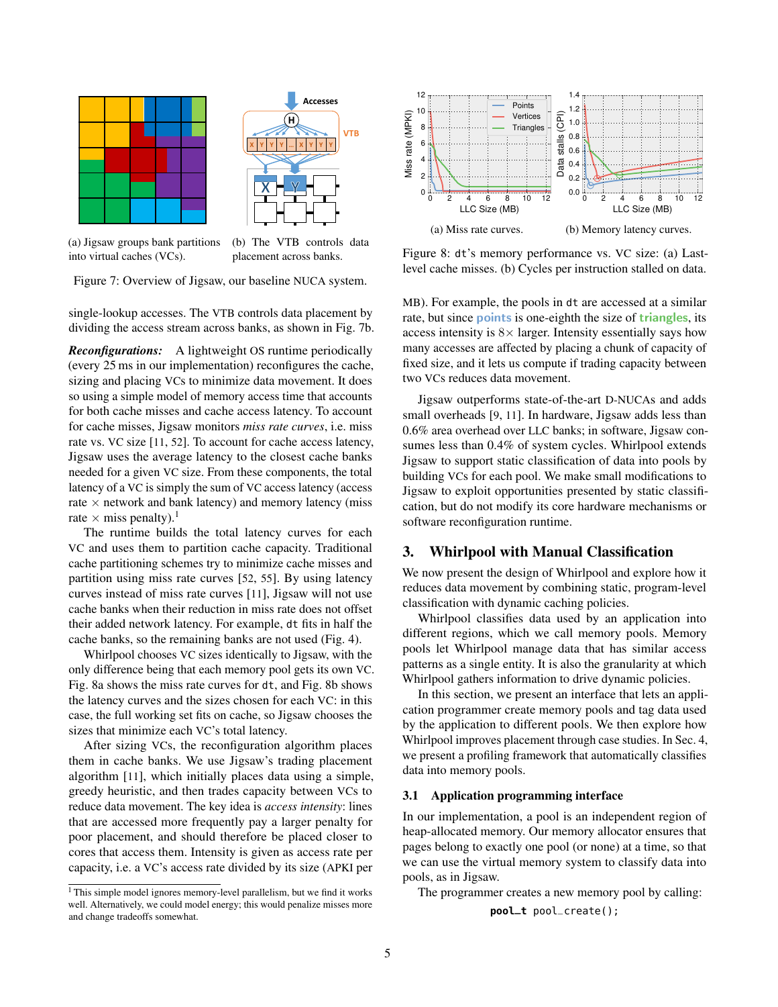<span id="page-4-1"></span>



(a) Jigsaw groups bank partitions into virtual caches (VCs).

(b) The VTB controls data placement across banks.

Figure 7: Overview of Jigsaw, our baseline NUCA system.

single-lookup accesses. The VTB controls data placement by dividing the access stream across banks, as shown in [Fig. 7b.](#page-4-1)

*Reconfigurations:* A lightweight OS runtime periodically (every 25 ms in our implementation) reconfigures the cache, sizing and placing VCs to minimize data movement. It does so using a simple model of memory access time that accounts for both cache misses and cache access latency. To account for cache misses, Jigsaw monitors *miss rate curves*, i.e. miss rate vs. VC size [[11](#page-13-9), [52](#page-14-14)]. To account for cache access latency, Jigsaw uses the average latency to the closest cache banks needed for a given VC size. From these components, the total latency of a VC is simply the sum of VC access latency (access rate  $\times$  network and bank latency) and memory latency (miss rate  $\times$  miss penalty).<sup>[1](#page-4-2)</sup>

The runtime builds the total latency curves for each VC and uses them to partition cache capacity. Traditional cache partitioning schemes try to minimize cache misses and partition using miss rate curves [[52](#page-14-14), [55](#page-14-15)]. By using latency curves instead of miss rate curves [[11](#page-13-9)], Jigsaw will not use cache banks when their reduction in miss rate does not offset their added network latency. For example, dt fits in half the cache banks, so the remaining banks are not used [\(Fig. 4\)](#page-2-0).

Whirlpool chooses VC sizes identically to Jigsaw, with the only difference being that each memory pool gets its own VC. [Fig. 8a](#page-4-3) shows the miss rate curves for dt, and [Fig. 8b](#page-4-3) shows the latency curves and the sizes chosen for each VC: in this case, the full working set fits on cache, so Jigsaw chooses the sizes that minimize each VC's total latency.

After sizing VCs, the reconfiguration algorithm places them in cache banks. We use Jigsaw's trading placement algorithm [[11](#page-13-9)], which initially places data using a simple, greedy heuristic, and then trades capacity between VCs to reduce data movement. The key idea is *access intensity*: lines that are accessed more frequently pay a larger penalty for poor placement, and should therefore be placed closer to cores that access them. Intensity is given as access rate per capacity, i.e. a VC's access rate divided by its size (APKI per

<span id="page-4-3"></span>

Figure 8: dt's memory performance vs. VC size: (a) Lastlevel cache misses. (b) Cycles per instruction stalled on data.

MB). For example, the pools in dt are accessed at a similar rate, but since points is one-eighth the size of **triangles**, its access intensity is  $8 \times$  larger. Intensity essentially says how many accesses are affected by placing a chunk of capacity of fixed size, and it lets us compute if trading capacity between two VCs reduces data movement.

Jigsaw outperforms state-of-the-art D-NUCAs and adds small overheads [[9](#page-13-5), [11](#page-13-9)]. In hardware, Jigsaw adds less than 0.6% area overhead over LLC banks; in software, Jigsaw consumes less than 0.4% of system cycles. Whirlpool extends Jigsaw to support static classification of data into pools by building VCs for each pool. We make small modifications to Jigsaw to exploit opportunities presented by static classification, but do not modify its core hardware mechanisms or software reconfiguration runtime.

# <span id="page-4-0"></span>3. Whirlpool with Manual Classification

We now present the design of Whirlpool and explore how it reduces data movement by combining static, program-level classification with dynamic caching policies.

Whirlpool classifies data used by an application into different regions, which we call memory pools. Memory pools let Whirlpool manage data that has similar access patterns as a single entity. It is also the granularity at which Whirlpool gathers information to drive dynamic policies.

In this section, we present an interface that lets an application programmer create memory pools and tag data used by the application to different pools. We then explore how Whirlpool improves placement through case studies. In [Sec. 4,](#page-7-0) we present a profiling framework that automatically classifies data into memory pools.

## 3.1 Application programming interface

In our implementation, a pool is an independent region of heap-allocated memory. Our memory allocator ensures that pages belong to exactly one pool (or none) at a time, so that we can use the virtual memory system to classify data into pools, as in Jigsaw.

The programmer creates a new memory pool by calling:

**pool\_t** pool\_create();

<span id="page-4-2"></span><sup>&</sup>lt;sup>1</sup> This simple model ignores memory-level parallelism, but we find it works well. Alternatively, we could model energy; this would penalize misses more and change tradeoffs somewhat.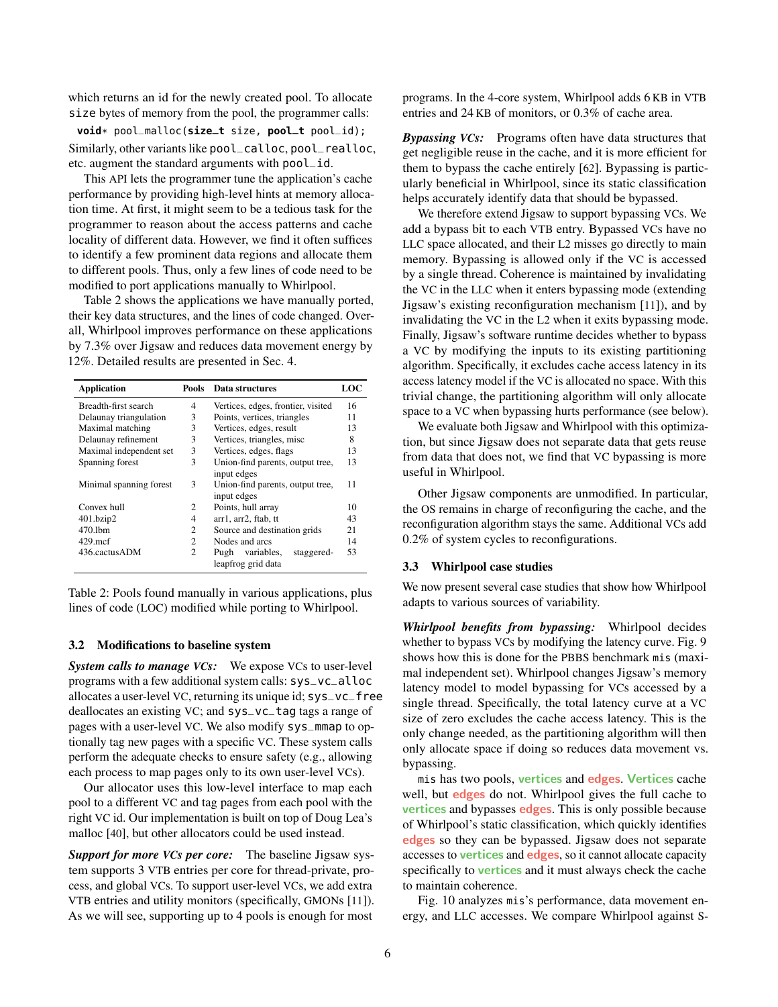which returns an id for the newly created pool. To allocate size bytes of memory from the pool, the programmer calls:

**void**\* pool\_malloc(**size\_t** size, **pool\_t** pool\_id); Similarly, other variants like pool\_calloc, pool\_realloc, etc. augment the standard arguments with pool\_id.

This API lets the programmer tune the application's cache performance by providing high-level hints at memory allocation time. At first, it might seem to be a tedious task for the programmer to reason about the access patterns and cache locality of different data. However, we find it often suffices to identify a few prominent data regions and allocate them to different pools. Thus, only a few lines of code need to be modified to port applications manually to Whirlpool.

[Table 2](#page-5-0) shows the applications we have manually ported, their key data structures, and the lines of code changed. Overall, Whirlpool improves performance on these applications by 7.3% over Jigsaw and reduces data movement energy by 12%. Detailed results are presented in [Sec. 4.](#page-7-0)

<span id="page-5-0"></span>

| <b>Application</b>          | Pools | Data structures                    | LOC |
|-----------------------------|-------|------------------------------------|-----|
| Breadth-first search        | 4     | Vertices, edges, frontier, visited | 16  |
| 3<br>Delaunay triangulation |       | Points, vertices, triangles        | 11  |
| Maximal matching<br>3       |       | Vertices, edges, result            | 13  |
| Delaunay refinement         | 3     | Vertices, triangles, misc          | 8   |
| Maximal independent set     | 3     | Vertices, edges, flags             | 13  |
| Spanning forest             | 3     | Union-find parents, output tree,   | 13  |
|                             |       | input edges                        |     |
| Minimal spanning forest     | 3     | Union-find parents, output tree,   | 11  |
|                             |       | input edges                        |     |
| Convex hull                 | 2     | Points, hull array                 | 10  |
| 401.bzip2                   | 4     | arr1, arr2, ftab, tt               | 43  |
| 470.1bm                     | 2     | Source and destination grids       | 21  |
| $429$ mcf                   | 2     | Nodes and arcs                     | 14  |
| 436.cactusADM               | 2     | variables,<br>Pugh<br>staggered-   | 53  |
|                             |       | leapfrog grid data                 |     |

Table 2: Pools found manually in various applications, plus lines of code (LOC) modified while porting to Whirlpool.

#### 3.2 Modifications to baseline system

*System calls to manage VCs:* We expose VCs to user-level programs with a few additional system calls: sys\_vc\_alloc allocates a user-level VC, returning its unique id; sys\_vc\_free deallocates an existing VC; and sys\_vc\_tag tags a range of pages with a user-level VC. We also modify sys\_mmap to optionally tag new pages with a specific VC. These system calls perform the adequate checks to ensure safety (e.g., allowing each process to map pages only to its own user-level VCs).

Our allocator uses this low-level interface to map each pool to a different VC and tag pages from each pool with the right VC id. Our implementation is built on top of Doug Lea's malloc [[40](#page-14-16)], but other allocators could be used instead.

*Support for more VCs per core:* The baseline Jigsaw system supports 3 VTB entries per core for thread-private, process, and global VCs. To support user-level VCs, we add extra VTB entries and utility monitors (specifically, GMONs [[11](#page-13-9)]). As we will see, supporting up to 4 pools is enough for most

programs. In the 4-core system, Whirlpool adds 6 KB in VTB entries and 24 KB of monitors, or 0.3% of cache area.

*Bypassing VCs:* Programs often have data structures that get negligible reuse in the cache, and it is more efficient for them to bypass the cache entirely [[62](#page-14-17)]. Bypassing is particularly beneficial in Whirlpool, since its static classification helps accurately identify data that should be bypassed.

We therefore extend Jigsaw to support bypassing VCs. We add a bypass bit to each VTB entry. Bypassed VCs have no LLC space allocated, and their L2 misses go directly to main memory. Bypassing is allowed only if the VC is accessed by a single thread. Coherence is maintained by invalidating the VC in the LLC when it enters bypassing mode (extending Jigsaw's existing reconfiguration mechanism [[11](#page-13-9)]), and by invalidating the VC in the L2 when it exits bypassing mode. Finally, Jigsaw's software runtime decides whether to bypass a VC by modifying the inputs to its existing partitioning algorithm. Specifically, it excludes cache access latency in its access latency model if the VC is allocated no space. With this trivial change, the partitioning algorithm will only allocate space to a VC when bypassing hurts performance (see below).

We evaluate both Jigsaw and Whirlpool with this optimization, but since Jigsaw does not separate data that gets reuse from data that does not, we find that VC bypassing is more useful in Whirlpool.

Other Jigsaw components are unmodified. In particular, the OS remains in charge of reconfiguring the cache, and the reconfiguration algorithm stays the same. Additional VCs add 0.2% of system cycles to reconfigurations.

#### 3.3 Whirlpool case studies

We now present several case studies that show how Whirlpool adapts to various sources of variability.

*Whirlpool benefits from bypassing:* Whirlpool decides whether to bypass VCs by modifying the latency curve. [Fig. 9](#page-6-0) shows how this is done for the PBBS benchmark mis (maximal independent set). Whirlpool changes Jigsaw's memory latency model to model bypassing for VCs accessed by a single thread. Specifically, the total latency curve at a VC size of zero excludes the cache access latency. This is the only change needed, as the partitioning algorithm will then only allocate space if doing so reduces data movement vs. bypassing.

mis has two pools, vertices and edges. Vertices cache well, but **edges** do not. Whirlpool gives the full cache to vertices and bypasses edges. This is only possible because of Whirlpool's static classification, which quickly identifies edges so they can be bypassed. Jigsaw does not separate accesses to vertices and edges, so it cannot allocate capacity specifically to vertices and it must always check the cache to maintain coherence.

[Fig. 10](#page-6-1) analyzes mis's performance, data movement energy, and LLC accesses. We compare Whirlpool against S-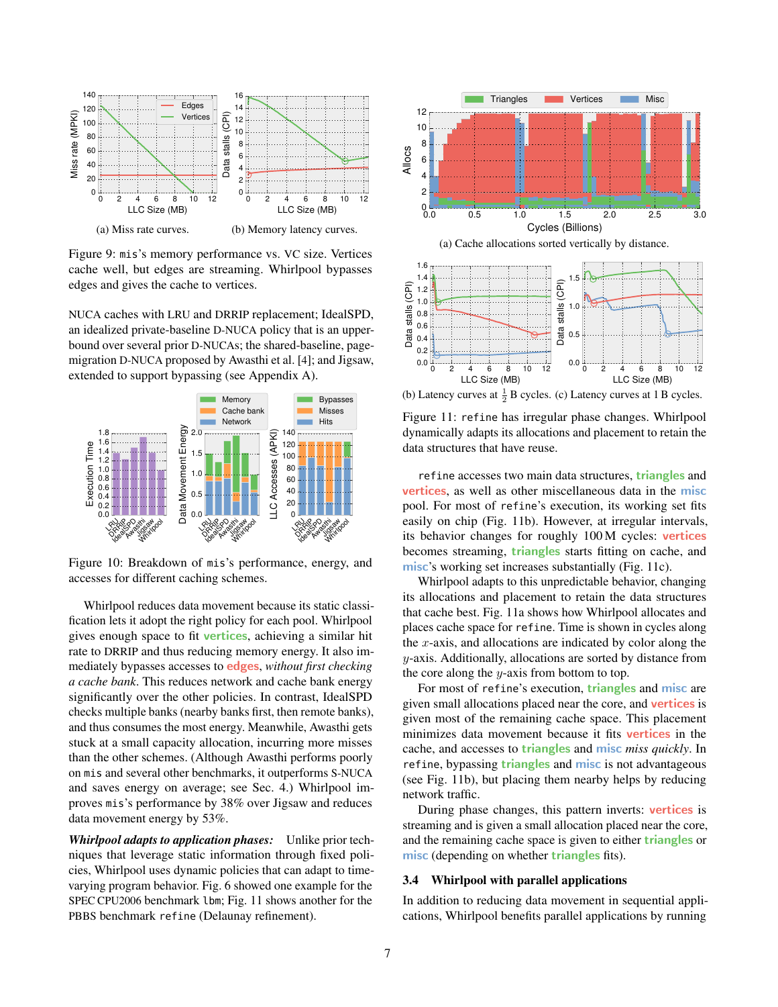<span id="page-6-0"></span>

Figure 9: mis's memory performance vs. VC size. Vertices cache well, but edges are streaming. Whirlpool bypasses edges and gives the cache to vertices.

NUCA caches with LRU and DRRIP replacement; IdealSPD, an idealized private-baseline D-NUCA policy that is an upperbound over several prior D-NUCAs; the shared-baseline, pagemigration D-NUCA proposed by Awasthi et al. [[4](#page-13-20)]; and Jigsaw, extended to support bypassing (see [Appendix A\)](#page-11-0).

<span id="page-6-1"></span>

Figure 10: Breakdown of mis's performance, energy, and accesses for different caching schemes.

Whirlpool reduces data movement because its static classification lets it adopt the right policy for each pool. Whirlpool gives enough space to fit vertices, achieving a similar hit rate to DRRIP and thus reducing memory energy. It also immediately bypasses accesses to edges, *without first checking a cache bank*. This reduces network and cache bank energy significantly over the other policies. In contrast, IdealSPD checks multiple banks (nearby banks first, then remote banks), and thus consumes the most energy. Meanwhile, Awasthi gets stuck at a small capacity allocation, incurring more misses than the other schemes. (Although Awasthi performs poorly on mis and several other benchmarks, it outperforms S-NUCA and saves energy on average; see [Sec. 4.](#page-7-0)) Whirlpool improves mis's performance by 38% over Jigsaw and reduces data movement energy by 53%.

*Whirlpool adapts to application phases:* Unlike prior techniques that leverage static information through fixed policies, Whirlpool uses dynamic policies that can adapt to timevarying program behavior. [Fig. 6](#page-2-3) showed one example for the SPEC CPU2006 benchmark lbm; [Fig. 11](#page-6-2) shows another for the PBBS benchmark refine (Delaunay refinement).

<span id="page-6-2"></span>

(b) Latency curves at  $\frac{1}{2}$  B cycles. (c) Latency curves at 1 B cycles.

Figure 11: refine has irregular phase changes. Whirlpool dynamically adapts its allocations and placement to retain the data structures that have reuse.

refine accesses two main data structures, triangles and vertices, as well as other miscellaneous data in the misc pool. For most of refine's execution, its working set fits easily on chip [\(Fig. 11b\)](#page-6-2). However, at irregular intervals, its behavior changes for roughly 100 M cycles: vertices becomes streaming, *triangles* starts fitting on cache, and misc's working set increases substantially [\(Fig. 11c\)](#page-6-2).

Whirlpool adapts to this unpredictable behavior, changing its allocations and placement to retain the data structures that cache best. [Fig. 11a](#page-6-2) shows how Whirlpool allocates and places cache space for refine. Time is shown in cycles along the  $x$ -axis, and allocations are indicated by color along the y-axis. Additionally, allocations are sorted by distance from the core along the  $y$ -axis from bottom to top.

For most of refine's execution, **triangles** and **misc** are given small allocations placed near the core, and vertices is given most of the remaining cache space. This placement minimizes data movement because it fits vertices in the cache, and accesses to triangles and misc *miss quickly*. In refine, bypassing triangles and misc is not advantageous (see [Fig. 11b\)](#page-6-2), but placing them nearby helps by reducing network traffic.

During phase changes, this pattern inverts: vertices is streaming and is given a small allocation placed near the core, and the remaining cache space is given to either triangles or misc (depending on whether **triangles** fits).

## 3.4 Whirlpool with parallel applications

In addition to reducing data movement in sequential applications, Whirlpool benefits parallel applications by running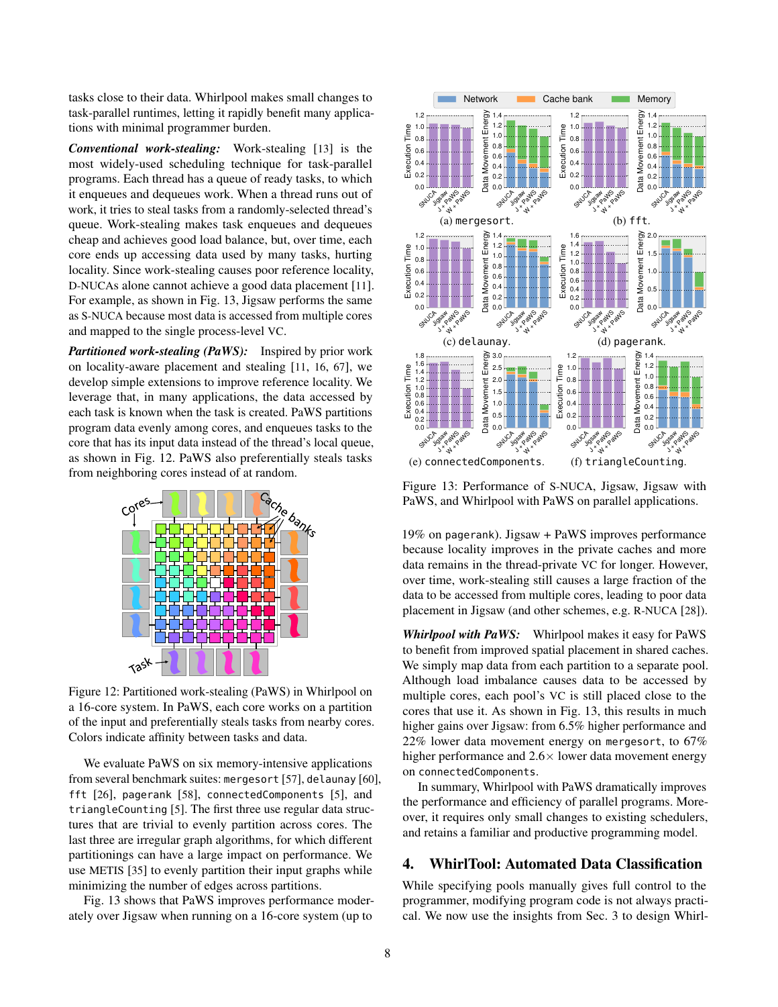tasks close to their data. Whirlpool makes small changes to task-parallel runtimes, letting it rapidly benefit many applications with minimal programmer burden.

*Conventional work-stealing:* Work-stealing [[13](#page-13-23)] is the most widely-used scheduling technique for task-parallel programs. Each thread has a queue of ready tasks, to which it enqueues and dequeues work. When a thread runs out of work, it tries to steal tasks from a randomly-selected thread's queue. Work-stealing makes task enqueues and dequeues cheap and achieves good load balance, but, over time, each core ends up accessing data used by many tasks, hurting locality. Since work-stealing causes poor reference locality, D-NUCAs alone cannot achieve a good data placement [[11](#page-13-9)]. For example, as shown in [Fig. 13,](#page-7-1) Jigsaw performs the same as S-NUCA because most data is accessed from multiple cores and mapped to the single process-level VC.

*Partitioned work-stealing (PaWS):* Inspired by prior work on locality-aware placement and stealing [[11](#page-13-9), [16](#page-13-24), [67](#page-14-18)], we develop simple extensions to improve reference locality. We leverage that, in many applications, the data accessed by each task is known when the task is created. PaWS partitions program data evenly among cores, and enqueues tasks to the core that has its input data instead of the thread's local queue, as shown in [Fig. 12.](#page-7-2) PaWS also preferentially steals tasks from neighboring cores instead of at random.

<span id="page-7-2"></span>

Figure 12: Partitioned work-stealing (PaWS) in Whirlpool on a 16-core system. In PaWS, each core works on a partition of the input and preferentially steals tasks from nearby cores. Colors indicate affinity between tasks and data.

We evaluate PaWS on six memory-intensive applications from several benchmark suites: mergesort [[57](#page-14-19)], delaunay [[60](#page-14-4)], fft [[26](#page-13-25)], pagerank [[58](#page-14-20)], connectedComponents [[5](#page-13-26)], and triangleCounting [[5](#page-13-26)]. The first three use regular data structures that are trivial to evenly partition across cores. The last three are irregular graph algorithms, for which different partitionings can have a large impact on performance. We use METIS [[35](#page-13-27)] to evenly partition their input graphs while minimizing the number of edges across partitions.

[Fig. 13](#page-7-1) shows that PaWS improves performance moderately over Jigsaw when running on a 16-core system (up to

<span id="page-7-1"></span>

Figure 13: Performance of S-NUCA, Jigsaw, Jigsaw with PaWS, and Whirlpool with PaWS on parallel applications.

19% on pagerank). Jigsaw + PaWS improves performance because locality improves in the private caches and more data remains in the thread-private VC for longer. However, over time, work-stealing still causes a large fraction of the data to be accessed from multiple cores, leading to poor data placement in Jigsaw (and other schemes, e.g. R-NUCA [[28](#page-13-6)]).

*Whirlpool with PaWS:* Whirlpool makes it easy for PaWS to benefit from improved spatial placement in shared caches. We simply map data from each partition to a separate pool. Although load imbalance causes data to be accessed by multiple cores, each pool's VC is still placed close to the cores that use it. As shown in [Fig. 13,](#page-7-1) this results in much higher gains over Jigsaw: from 6.5% higher performance and 22% lower data movement energy on mergesort, to 67% higher performance and  $2.6 \times$  lower data movement energy on connectedComponents.

In summary, Whirlpool with PaWS dramatically improves the performance and efficiency of parallel programs. Moreover, it requires only small changes to existing schedulers, and retains a familiar and productive programming model.

# <span id="page-7-0"></span>4. WhirlTool: Automated Data Classification

While specifying pools manually gives full control to the programmer, modifying program code is not always practical. We now use the insights from [Sec. 3](#page-4-0) to design Whirl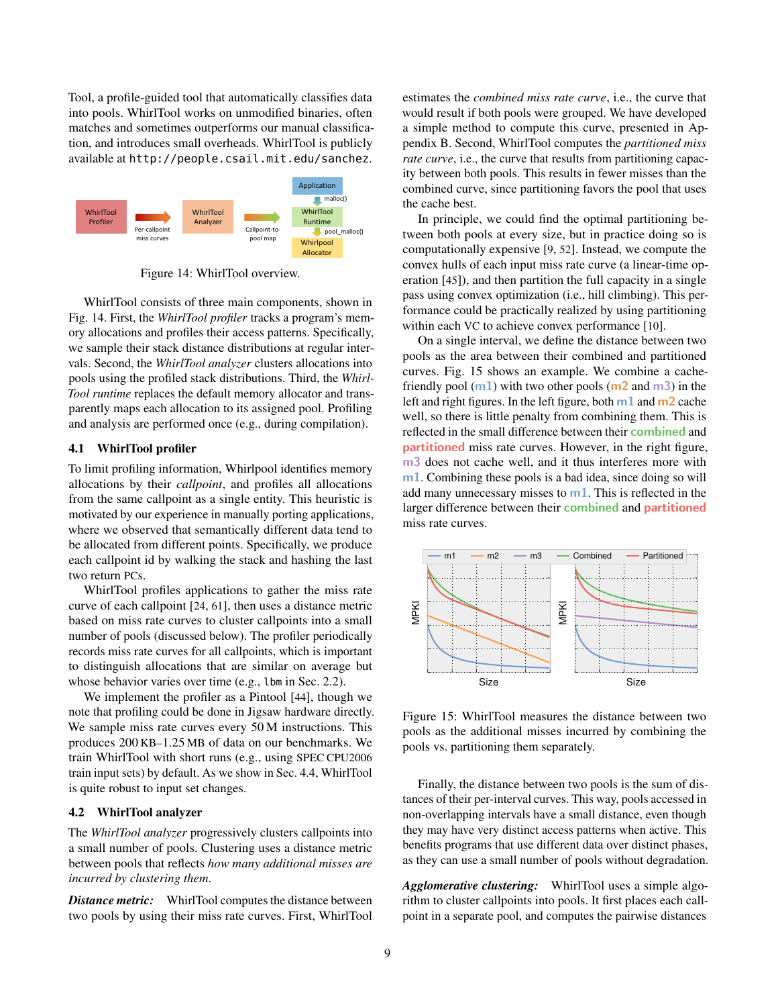Tool, a profile-guided tool that automatically classifies data into pools. WhirlTool works on unmodified binaries, often matches and sometimes outperforms our manual classification, and introduces small overheads. WhirlTool is publicly available at http://people.csail.mit.edu/sanchez.

<span id="page-8-0"></span>

Figure 14: WhirlTool overview.

WhirlTool consists of three main components, shown in [Fig. 14.](#page-8-0) First, the *WhirlTool profiler* tracks a program's memory allocations and profiles their access patterns. Specifically, we sample their stack distance distributions at regular intervals. Second, the *WhirlTool analyzer* clusters allocations into pools using the profiled stack distributions. Third, the *Whirl-Tool runtime* replaces the default memory allocator and transparently maps each allocation to its assigned pool. Profiling and analysis are performed once (e.g., during compilation).

#### 4.1 WhirlTool profiler

To limit profiling information, Whirlpool identifies memory allocations by their *callpoint*, and profiles all allocations from the same callpoint as a single entity. This heuristic is motivated by our experience in manually porting applications, where we observed that semantically different data tend to be allocated from different points. Specifically, we produce each callpoint id by walking the stack and hashing the last two return PCs.

WhirlTool profiles applications to gather the miss rate curve of each callpoint [[24](#page-13-28), [61](#page-14-21)], then uses a distance metric based on miss rate curves to cluster callpoints into a small number of pools (discussed below). The profiler periodically records miss rate curves for all callpoints, which is important to distinguish allocations that are similar on average but whose behavior varies over time (e.g., lbm in [Sec. 2.2\)](#page-2-4).

We implement the profiler as a Pintool [[44](#page-14-22)], though we note that profiling could be done in Jigsaw hardware directly. We sample miss rate curves every 50 M instructions. This produces 200 KB–1.25 MB of data on our benchmarks. We train WhirlTool with short runs (e.g., using SPEC CPU2006 train input sets) by default. As we show in [Sec. 4.4,](#page-9-0) WhirlTool is quite robust to input set changes.

#### 4.2 WhirlTool analyzer

The *WhirlTool analyzer* progressively clusters callpoints into a small number of pools. Clustering uses a distance metric between pools that reflects *how many additional misses are incurred by clustering them*.

*Distance metric:* WhirlTool computes the distance between two pools by using their miss rate curves. First, WhirlTool estimates the *combined miss rate curve*, i.e., the curve that would result if both pools were grouped. We have developed a simple method to compute this curve, presented in [Ap](#page-12-0)[pendix B.](#page-12-0) Second, WhirlTool computes the *partitioned miss rate curve*, i.e., the curve that results from partitioning capacity between both pools. This results in fewer misses than the combined curve, since partitioning favors the pool that uses the cache best.

In principle, we could find the optimal partitioning between both pools at every size, but in practice doing so is computationally expensive [[9](#page-13-5), [52](#page-14-14)]. Instead, we compute the convex hulls of each input miss rate curve (a linear-time operation [[45](#page-14-23)]), and then partition the full capacity in a single pass using convex optimization (i.e., hill climbing). This performance could be practically realized by using partitioning within each VC to achieve convex performance [[10](#page-13-29)].

On a single interval, we define the distance between two pools as the area between their combined and partitioned curves. [Fig. 15](#page-8-1) shows an example. We combine a cachefriendly pool  $(m1)$  with two other pools  $(m2 \text{ and } m3)$  in the left and right figures. In the left figure, both  $m1$  and  $m2$  cache well, so there is little penalty from combining them. This is reflected in the small difference between their combined and partitioned miss rate curves. However, in the right figure, m3 does not cache well, and it thus interferes more with m1. Combining these pools is a bad idea, since doing so will add many unnecessary misses to  $m1$ . This is reflected in the larger difference between their combined and partitioned miss rate curves.

<span id="page-8-1"></span>

Figure 15: WhirlTool measures the distance between two pools as the additional misses incurred by combining the pools vs. partitioning them separately.

Finally, the distance between two pools is the sum of distances of their per-interval curves. This way, pools accessed in non-overlapping intervals have a small distance, even though they may have very distinct access patterns when active. This benefits programs that use different data over distinct phases, as they can use a small number of pools without degradation.

*Agglomerative clustering:* WhirlTool uses a simple algorithm to cluster callpoints into pools. It first places each callpoint in a separate pool, and computes the pairwise distances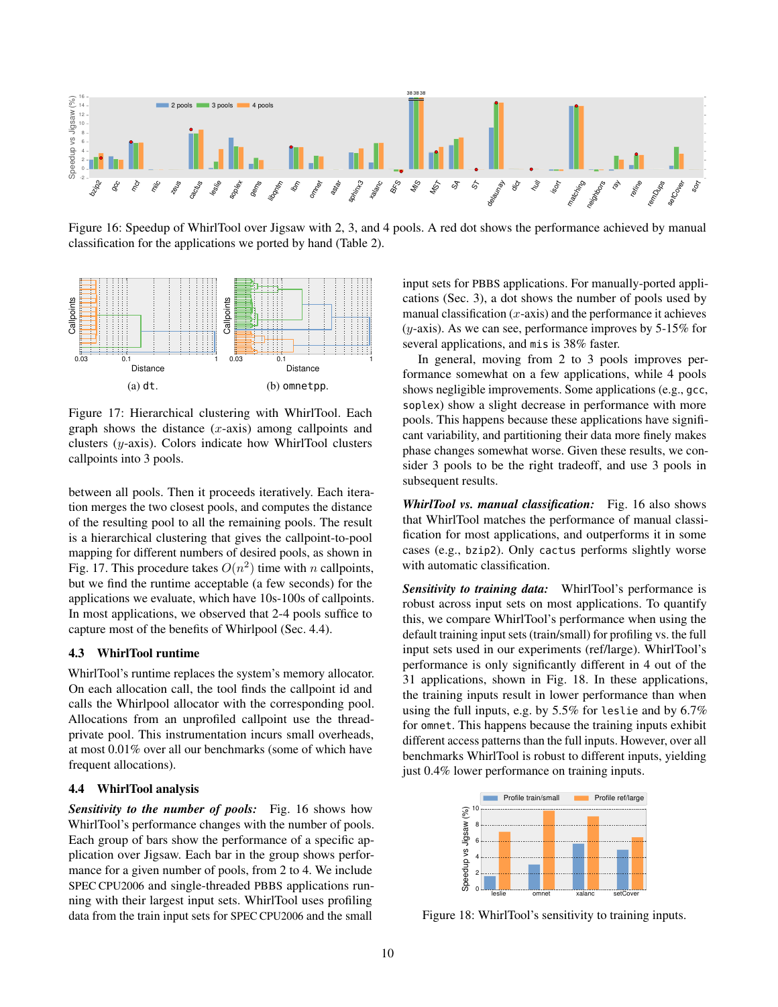<span id="page-9-2"></span>

Figure 16: Speedup of WhirlTool over Jigsaw with 2, 3, and 4 pools. A red dot shows the performance achieved by manual classification for the applications we ported by hand [\(Table 2\)](#page-5-0).

<span id="page-9-1"></span>

Figure 17: Hierarchical clustering with WhirlTool. Each graph shows the distance  $(x\text{-axis})$  among callpoints and clusters (y-axis). Colors indicate how WhirlTool clusters callpoints into 3 pools.

between all pools. Then it proceeds iteratively. Each iteration merges the two closest pools, and computes the distance of the resulting pool to all the remaining pools. The result is a hierarchical clustering that gives the callpoint-to-pool mapping for different numbers of desired pools, as shown in [Fig. 17.](#page-9-1) This procedure takes  $O(n^2)$  time with n callpoints, but we find the runtime acceptable (a few seconds) for the applications we evaluate, which have 10s-100s of callpoints. In most applications, we observed that 2-4 pools suffice to capture most of the benefits of Whirlpool [\(Sec. 4.4\)](#page-9-0).

# 4.3 WhirlTool runtime

WhirlTool's runtime replaces the system's memory allocator. On each allocation call, the tool finds the callpoint id and calls the Whirlpool allocator with the corresponding pool. Allocations from an unprofiled callpoint use the threadprivate pool. This instrumentation incurs small overheads, at most 0.01% over all our benchmarks (some of which have frequent allocations).

## <span id="page-9-0"></span>4.4 WhirlTool analysis

*Sensitivity to the number of pools:* [Fig. 16](#page-9-2) shows how WhirlTool's performance changes with the number of pools. Each group of bars show the performance of a specific application over Jigsaw. Each bar in the group shows performance for a given number of pools, from 2 to 4. We include SPEC CPU2006 and single-threaded PBBS applications running with their largest input sets. WhirlTool uses profiling data from the train input sets for SPEC CPU2006 and the small

input sets for PBBS applications. For manually-ported applications [\(Sec. 3\)](#page-4-0), a dot shows the number of pools used by manual classification  $(x$ -axis) and the performance it achieves  $(y-axis)$ . As we can see, performance improves by 5-15% for several applications, and mis is 38% faster.

In general, moving from 2 to 3 pools improves performance somewhat on a few applications, while 4 pools shows negligible improvements. Some applications (e.g., gcc, soplex) show a slight decrease in performance with more pools. This happens because these applications have significant variability, and partitioning their data more finely makes phase changes somewhat worse. Given these results, we consider 3 pools to be the right tradeoff, and use 3 pools in subsequent results.

*WhirlTool vs. manual classification:* [Fig. 16](#page-9-2) also shows that WhirlTool matches the performance of manual classification for most applications, and outperforms it in some cases (e.g., bzip2). Only cactus performs slightly worse with automatic classification.

*Sensitivity to training data:* WhirlTool's performance is robust across input sets on most applications. To quantify this, we compare WhirlTool's performance when using the default training input sets (train/small) for profiling vs. the full input sets used in our experiments (ref/large). WhirlTool's performance is only significantly different in 4 out of the 31 applications, shown in [Fig. 18.](#page-9-3) In these applications, the training inputs result in lower performance than when using the full inputs, e.g. by 5.5% for leslie and by 6.7% for omnet. This happens because the training inputs exhibit different access patterns than the full inputs. However, over all benchmarks WhirlTool is robust to different inputs, yielding just 0.4% lower performance on training inputs.

<span id="page-9-3"></span>

Figure 18: WhirlTool's sensitivity to training inputs.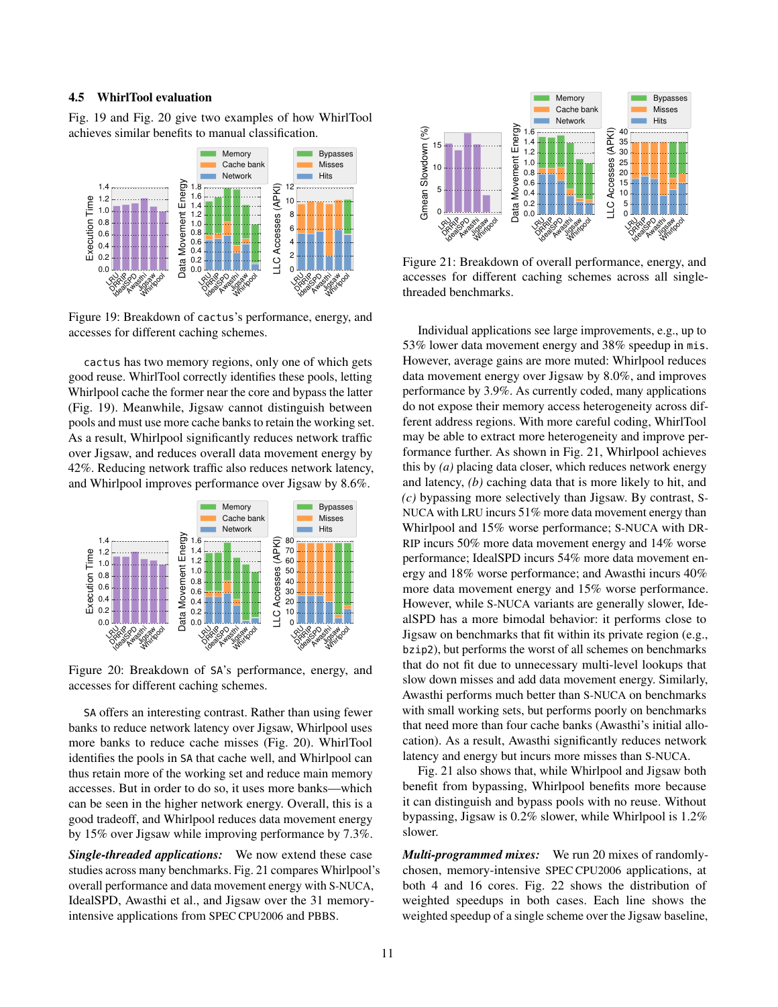# 4.5 WhirlTool evaluation

[Fig. 19](#page-10-0) and [Fig. 20](#page-10-1) give two examples of how WhirlTool achieves similar benefits to manual classification.

<span id="page-10-0"></span>

Figure 19: Breakdown of cactus's performance, energy, and accesses for different caching schemes.

cactus has two memory regions, only one of which gets good reuse. WhirlTool correctly identifies these pools, letting Whirlpool cache the former near the core and bypass the latter [\(Fig. 19\)](#page-10-0). Meanwhile, Jigsaw cannot distinguish between pools and must use more cache banks to retain the working set. As a result, Whirlpool significantly reduces network traffic over Jigsaw, and reduces overall data movement energy by 42%. Reducing network traffic also reduces network latency, and Whirlpool improves performance over Jigsaw by 8.6%.

<span id="page-10-1"></span>

Figure 20: Breakdown of SA's performance, energy, and accesses for different caching schemes.

SA offers an interesting contrast. Rather than using fewer banks to reduce network latency over Jigsaw, Whirlpool uses more banks to reduce cache misses [\(Fig. 20\)](#page-10-1). WhirlTool identifies the pools in SA that cache well, and Whirlpool can thus retain more of the working set and reduce main memory accesses. But in order to do so, it uses more banks—which can be seen in the higher network energy. Overall, this is a good tradeoff, and Whirlpool reduces data movement energy by 15% over Jigsaw while improving performance by 7.3%.

*Single-threaded applications:* We now extend these case studies across many benchmarks. [Fig. 21](#page-10-2) compares Whirlpool's overall performance and data movement energy with S-NUCA, IdealSPD, Awasthi et al., and Jigsaw over the 31 memoryintensive applications from SPEC CPU2006 and PBBS.

<span id="page-10-2"></span>

Figure 21: Breakdown of overall performance, energy, and accesses for different caching schemes across all singlethreaded benchmarks.

Individual applications see large improvements, e.g., up to 53% lower data movement energy and 38% speedup in mis. However, average gains are more muted: Whirlpool reduces data movement energy over Jigsaw by 8.0%, and improves performance by 3.9%. As currently coded, many applications do not expose their memory access heterogeneity across different address regions. With more careful coding, WhirlTool may be able to extract more heterogeneity and improve performance further. As shown in [Fig. 21,](#page-10-2) Whirlpool achieves this by *(a)* placing data closer, which reduces network energy and latency, *(b)* caching data that is more likely to hit, and *(c)* bypassing more selectively than Jigsaw. By contrast, S-NUCA with LRU incurs 51% more data movement energy than Whirlpool and 15% worse performance; S-NUCA with DR-RIP incurs 50% more data movement energy and 14% worse performance; IdealSPD incurs 54% more data movement energy and 18% worse performance; and Awasthi incurs 40% more data movement energy and 15% worse performance. However, while S-NUCA variants are generally slower, IdealSPD has a more bimodal behavior: it performs close to Jigsaw on benchmarks that fit within its private region (e.g., bzip2), but performs the worst of all schemes on benchmarks that do not fit due to unnecessary multi-level lookups that slow down misses and add data movement energy. Similarly, Awasthi performs much better than S-NUCA on benchmarks with small working sets, but performs poorly on benchmarks that need more than four cache banks (Awasthi's initial allocation). As a result, Awasthi significantly reduces network latency and energy but incurs more misses than S-NUCA.

[Fig. 21](#page-10-2) also shows that, while Whirlpool and Jigsaw both benefit from bypassing, Whirlpool benefits more because it can distinguish and bypass pools with no reuse. Without bypassing, Jigsaw is 0.2% slower, while Whirlpool is 1.2% slower.

*Multi-programmed mixes:* We run 20 mixes of randomlychosen, memory-intensive SPEC CPU2006 applications, at both 4 and 16 cores. [Fig. 22](#page-11-1) shows the distribution of weighted speedups in both cases. Each line shows the weighted speedup of a single scheme over the Jigsaw baseline,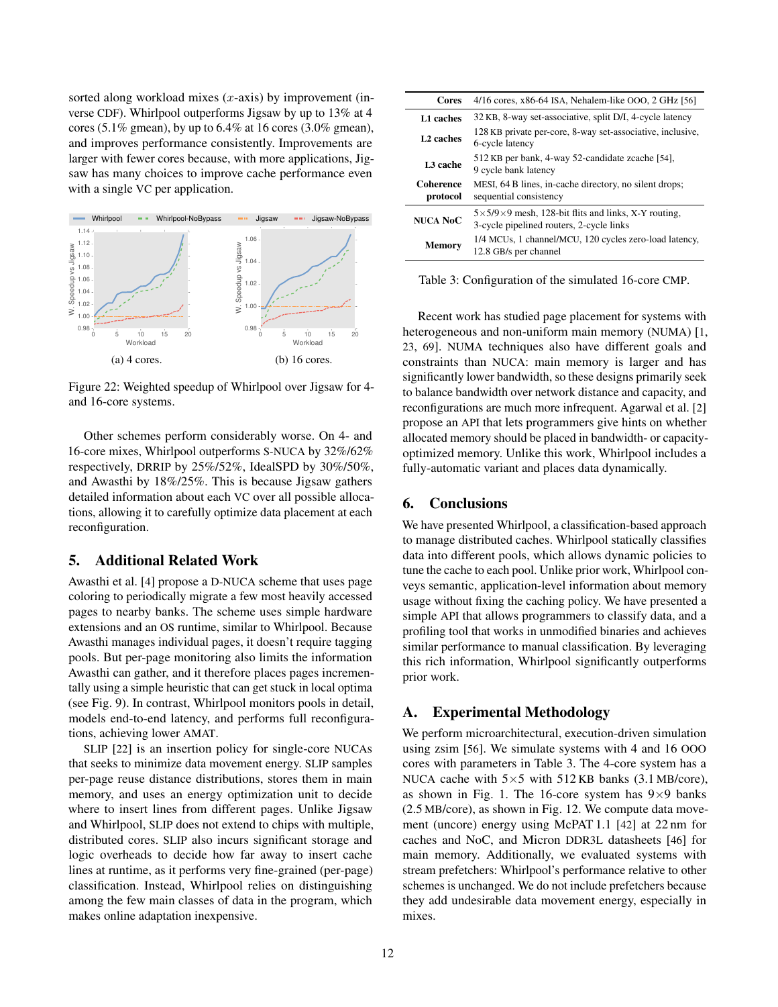sorted along workload mixes  $(x\text{-axis})$  by improvement (inverse CDF). Whirlpool outperforms Jigsaw by up to 13% at 4 cores (5.1% gmean), by up to  $6.4\%$  at 16 cores (3.0% gmean), and improves performance consistently. Improvements are larger with fewer cores because, with more applications, Jigsaw has many choices to improve cache performance even with a single VC per application.

<span id="page-11-1"></span>

Figure 22: Weighted speedup of Whirlpool over Jigsaw for 4 and 16-core systems.

Other schemes perform considerably worse. On 4- and 16-core mixes, Whirlpool outperforms S-NUCA by 32%/62% respectively, DRRIP by 25%/52%, IdealSPD by 30%/50%, and Awasthi by 18%/25%. This is because Jigsaw gathers detailed information about each VC over all possible allocations, allowing it to carefully optimize data placement at each reconfiguration.

# <span id="page-11-3"></span>5. Additional Related Work

Awasthi et al. [[4](#page-13-20)] propose a D-NUCA scheme that uses page coloring to periodically migrate a few most heavily accessed pages to nearby banks. The scheme uses simple hardware extensions and an OS runtime, similar to Whirlpool. Because Awasthi manages individual pages, it doesn't require tagging pools. But per-page monitoring also limits the information Awasthi can gather, and it therefore places pages incrementally using a simple heuristic that can get stuck in local optima (see [Fig. 9\)](#page-6-0). In contrast, Whirlpool monitors pools in detail, models end-to-end latency, and performs full reconfigurations, achieving lower AMAT.

SLIP [[22](#page-13-19)] is an insertion policy for single-core NUCAs that seeks to minimize data movement energy. SLIP samples per-page reuse distance distributions, stores them in main memory, and uses an energy optimization unit to decide where to insert lines from different pages. Unlike Jigsaw and Whirlpool, SLIP does not extend to chips with multiple, distributed cores. SLIP also incurs significant storage and logic overheads to decide how far away to insert cache lines at runtime, as it performs very fine-grained (per-page) classification. Instead, Whirlpool relies on distinguishing among the few main classes of data in the program, which makes online adaptation inexpensive.

<span id="page-11-2"></span>

| Cores                        | $4/16$ cores, x86-64 ISA, Nehalem-like OOO, 2 GHz [56]                                                          |
|------------------------------|-----------------------------------------------------------------------------------------------------------------|
| L1 caches                    | 32 KB, 8-way set-associative, split D/I, 4-cycle latency                                                        |
| L <sub>2</sub> caches        | 128 KB private per-core, 8-way set-associative, inclusive,<br>6-cycle latency                                   |
| L <sub>3</sub> cache         | 512 KB per bank, 4-way 52-candidate zcache [54],<br>9 cycle bank latency                                        |
| <b>Coherence</b><br>protocol | MESI, 64 B lines, in-cache directory, no silent drops;<br>sequential consistency                                |
| <b>NUCA NoC</b>              | $5 \times 5/9 \times 9$ mesh, 128-bit flits and links, X-Y routing,<br>3-cycle pipelined routers, 2-cycle links |
| <b>Memory</b>                | 1/4 MCUs, 1 channel/MCU, 120 cycles zero-load latency,<br>12.8 GB/s per channel                                 |

Table 3: Configuration of the simulated 16-core CMP.

Recent work has studied page placement for systems with heterogeneous and non-uniform main memory (NUMA) [[1](#page-13-30), [23](#page-13-31), [69](#page-14-26)]. NUMA techniques also have different goals and constraints than NUCA: main memory is larger and has significantly lower bandwidth, so these designs primarily seek to balance bandwidth over network distance and capacity, and reconfigurations are much more infrequent. Agarwal et al. [[2](#page-13-32)] propose an API that lets programmers give hints on whether allocated memory should be placed in bandwidth- or capacityoptimized memory. Unlike this work, Whirlpool includes a fully-automatic variant and places data dynamically.

# 6. Conclusions

We have presented Whirlpool, a classification-based approach to manage distributed caches. Whirlpool statically classifies data into different pools, which allows dynamic policies to tune the cache to each pool. Unlike prior work, Whirlpool conveys semantic, application-level information about memory usage without fixing the caching policy. We have presented a simple API that allows programmers to classify data, and a profiling tool that works in unmodified binaries and achieves similar performance to manual classification. By leveraging this rich information, Whirlpool significantly outperforms prior work.

# <span id="page-11-0"></span>A. Experimental Methodology

We perform microarchitectural, execution-driven simulation using zsim [[56](#page-14-24)]. We simulate systems with 4 and 16 OOO cores with parameters in [Table 3.](#page-11-2) The 4-core system has a NUCA cache with  $5\times 5$  with  $512$  KB banks (3.1 MB/core), as shown in [Fig. 1.](#page-1-1) The 16-core system has  $9\times9$  banks (2.5 MB/core), as shown in [Fig. 12.](#page-7-2) We compute data movement (uncore) energy using McPAT 1.1 [[42](#page-14-27)] at 22 nm for caches and NoC, and Micron DDR3L datasheets [[46](#page-14-28)] for main memory. Additionally, we evaluated systems with stream prefetchers: Whirlpool's performance relative to other schemes is unchanged. We do not include prefetchers because they add undesirable data movement energy, especially in mixes.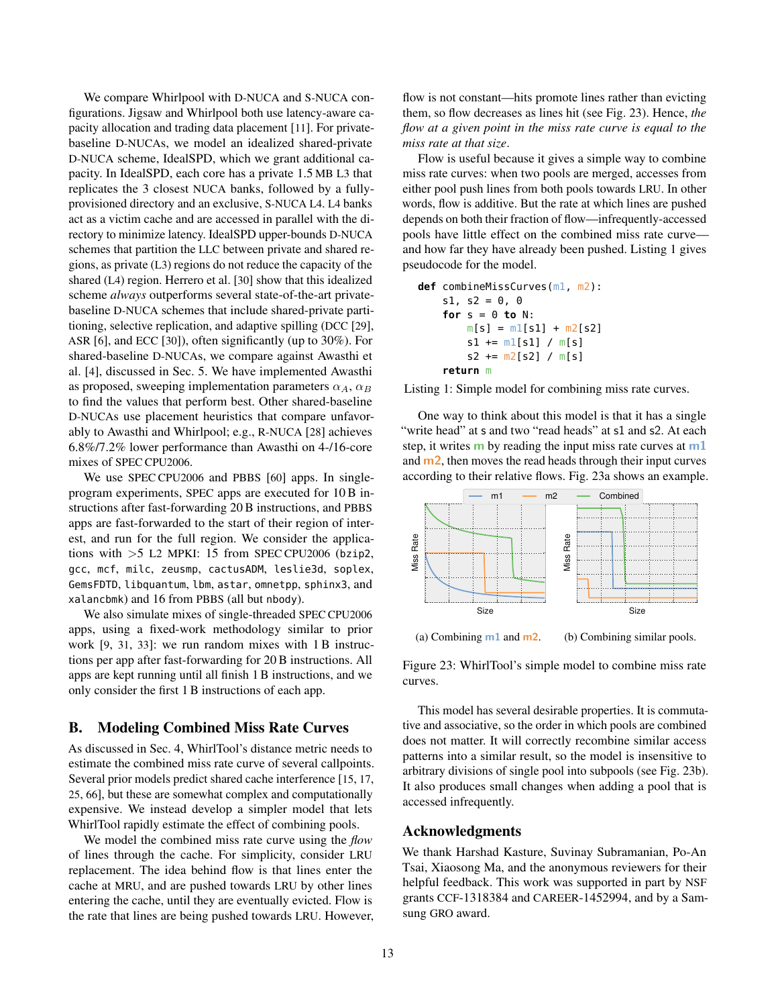We compare Whirlpool with D-NUCA and S-NUCA configurations. Jigsaw and Whirlpool both use latency-aware capacity allocation and trading data placement [[11](#page-13-9)]. For privatebaseline D-NUCAs, we model an idealized shared-private D-NUCA scheme, IdealSPD, which we grant additional capacity. In IdealSPD, each core has a private 1.5 MB L3 that replicates the 3 closest NUCA banks, followed by a fullyprovisioned directory and an exclusive, S-NUCA L4. L4 banks act as a victim cache and are accessed in parallel with the directory to minimize latency. IdealSPD upper-bounds D-NUCA schemes that partition the LLC between private and shared regions, as private (L3) regions do not reduce the capacity of the shared (L4) region. Herrero et al. [[30](#page-13-33)] show that this idealized scheme *always* outperforms several state-of-the-art privatebaseline D-NUCA schemes that include shared-private partitioning, selective replication, and adaptive spilling (DCC [[29](#page-13-34)], ASR [[6](#page-13-18)], and ECC [[30](#page-13-33)]), often significantly (up to 30%). For shared-baseline D-NUCAs, we compare against Awasthi et al. [[4](#page-13-20)], discussed in [Sec. 5.](#page-11-3) We have implemented Awasthi as proposed, sweeping implementation parameters  $\alpha_A$ ,  $\alpha_B$ to find the values that perform best. Other shared-baseline D-NUCAs use placement heuristics that compare unfavorably to Awasthi and Whirlpool; e.g., R-NUCA [[28](#page-13-6)] achieves 6.8%/7.2% lower performance than Awasthi on 4-/16-core mixes of SPEC CPU2006.

We use SPEC CPU2006 and PBBS [[60](#page-14-4)] apps. In singleprogram experiments, SPEC apps are executed for 10 B instructions after fast-forwarding 20 B instructions, and PBBS apps are fast-forwarded to the start of their region of interest, and run for the full region. We consider the applications with  $>5$  L2 MPKI: 15 from SPEC CPU2006 (bzip2, gcc, mcf, milc, zeusmp, cactusADM, leslie3d, soplex, GemsFDTD, libquantum, lbm, astar, omnetpp, sphinx3, and xalancbmk) and 16 from PBBS (all but nbody).

We also simulate mixes of single-threaded SPEC CPU2006 apps, using a fixed-work methodology similar to prior work [[9](#page-13-5), [31](#page-13-35), [33](#page-13-16)]: we run random mixes with 1 B instructions per app after fast-forwarding for 20 B instructions. All apps are kept running until all finish 1 B instructions, and we only consider the first 1 B instructions of each app.

# <span id="page-12-0"></span>B. Modeling Combined Miss Rate Curves

As discussed in [Sec. 4,](#page-7-0) WhirlTool's distance metric needs to estimate the combined miss rate curve of several callpoints. Several prior models predict shared cache interference [[15](#page-13-36), [17](#page-13-37), [25](#page-13-38), [66](#page-14-29)], but these are somewhat complex and computationally expensive. We instead develop a simpler model that lets WhirlTool rapidly estimate the effect of combining pools.

We model the combined miss rate curve using the *flow* of lines through the cache. For simplicity, consider LRU replacement. The idea behind flow is that lines enter the cache at MRU, and are pushed towards LRU by other lines entering the cache, until they are eventually evicted. Flow is the rate that lines are being pushed towards LRU. However,

flow is not constant—hits promote lines rather than evicting them, so flow decreases as lines hit (see [Fig. 23\)](#page-12-1). Hence, *the flow at a given point in the miss rate curve is equal to the miss rate at that size*.

Flow is useful because it gives a simple way to combine miss rate curves: when two pools are merged, accesses from either pool push lines from both pools towards LRU. In other words, flow is additive. But the rate at which lines are pushed depends on both their fraction of flow—infrequently-accessed pools have little effect on the combined miss rate curve and how far they have already been pushed. [Listing 1](#page-12-2) gives pseudocode for the model.

```
def combineMissCurves(m1, m2):
s1, s2 = 0, 0
for s = 0 to N:
    m[s] = m1[s1] + m2[s2]s1 := m1[s1] / m[s]s2 \leftarrow m2[s2] / m[s]return m
```
Listing 1: Simple model for combining miss rate curves.

One way to think about this model is that it has a single "write head" at s and two "read heads" at s1 and s2. At each step, it writes  $\bf{m}$  by reading the input miss rate curves at  $\bf{m}1$ and m2, then moves the read heads through their input curves according to their relative flows. [Fig. 23a](#page-12-1) shows an example.

<span id="page-12-1"></span>

Figure 23: WhirlTool's simple model to combine miss rate curves.

This model has several desirable properties. It is commutative and associative, so the order in which pools are combined does not matter. It will correctly recombine similar access patterns into a similar result, so the model is insensitive to arbitrary divisions of single pool into subpools (see [Fig. 23b\)](#page-12-1). It also produces small changes when adding a pool that is accessed infrequently.

# Acknowledgments

We thank Harshad Kasture, Suvinay Subramanian, Po-An Tsai, Xiaosong Ma, and the anonymous reviewers for their helpful feedback. This work was supported in part by NSF grants CCF-1318384 and CAREER-1452994, and by a Samsung GRO award.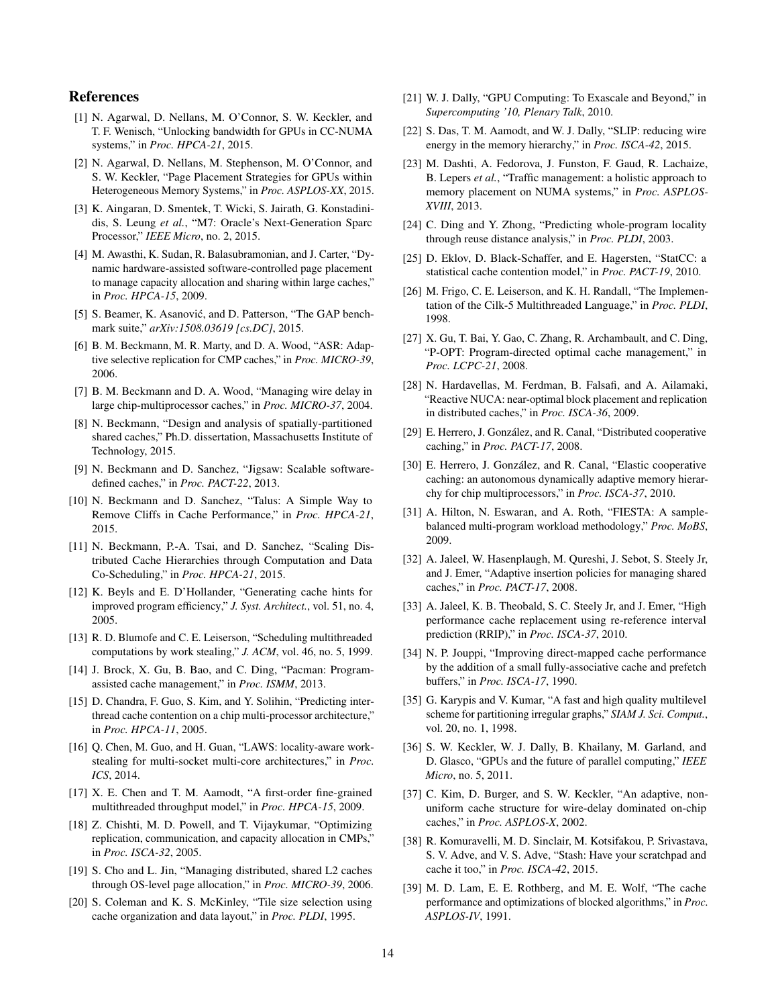# References

- <span id="page-13-30"></span>[1] N. Agarwal, D. Nellans, M. O'Connor, S. W. Keckler, and T. F. Wenisch, "Unlocking bandwidth for GPUs in CC-NUMA systems," in *Proc. HPCA-21*, 2015.
- <span id="page-13-32"></span>[2] N. Agarwal, D. Nellans, M. Stephenson, M. O'Connor, and S. W. Keckler, "Page Placement Strategies for GPUs within Heterogeneous Memory Systems," in *Proc. ASPLOS-XX*, 2015.
- <span id="page-13-10"></span>[3] K. Aingaran, D. Smentek, T. Wicki, S. Jairath, G. Konstadinidis, S. Leung *et al.*, "M7: Oracle's Next-Generation Sparc Processor," *IEEE Micro*, no. 2, 2015.
- <span id="page-13-20"></span>[4] M. Awasthi, K. Sudan, R. Balasubramonian, and J. Carter, "Dynamic hardware-assisted software-controlled page placement to manage capacity allocation and sharing within large caches," in *Proc. HPCA-15*, 2009.
- <span id="page-13-26"></span>[5] S. Beamer, K. Asanović, and D. Patterson, "The GAP benchmark suite," *arXiv:1508.03619 [cs.DC]*, 2015.
- <span id="page-13-18"></span>[6] B. M. Beckmann, M. R. Marty, and D. A. Wood, "ASR: Adaptive selective replication for CMP caches," in *Proc. MICRO-39*, 2006.
- <span id="page-13-4"></span>[7] B. M. Beckmann and D. A. Wood, "Managing wire delay in large chip-multiprocessor caches," in *Proc. MICRO-37*, 2004.
- <span id="page-13-22"></span>[8] N. Beckmann, "Design and analysis of spatially-partitioned shared caches," Ph.D. dissertation, Massachusetts Institute of Technology, 2015.
- <span id="page-13-5"></span>[9] N. Beckmann and D. Sanchez, "Jigsaw: Scalable softwaredefined caches," in *Proc. PACT-22*, 2013.
- <span id="page-13-29"></span>[10] N. Beckmann and D. Sanchez, "Talus: A Simple Way to Remove Cliffs in Cache Performance," in *Proc. HPCA-21*, 2015.
- <span id="page-13-9"></span>[11] N. Beckmann, P.-A. Tsai, and D. Sanchez, "Scaling Distributed Cache Hierarchies through Computation and Data Co-Scheduling," in *Proc. HPCA-21*, 2015.
- <span id="page-13-12"></span>[12] K. Beyls and E. D'Hollander, "Generating cache hints for improved program efficiency," *J. Syst. Architect.*, vol. 51, no. 4, 2005.
- <span id="page-13-23"></span>[13] R. D. Blumofe and C. E. Leiserson, "Scheduling multithreaded computations by work stealing," *J. ACM*, vol. 46, no. 5, 1999.
- <span id="page-13-13"></span>[14] J. Brock, X. Gu, B. Bao, and C. Ding, "Pacman: Programassisted cache management," in *Proc. ISMM*, 2013.
- <span id="page-13-36"></span>[15] D. Chandra, F. Guo, S. Kim, and Y. Solihin, "Predicting interthread cache contention on a chip multi-processor architecture," in *Proc. HPCA-11*, 2005.
- <span id="page-13-24"></span>[16] Q. Chen, M. Guo, and H. Guan, "LAWS: locality-aware workstealing for multi-socket multi-core architectures," in *Proc. ICS*, 2014.
- <span id="page-13-37"></span>[17] X. E. Chen and T. M. Aamodt, "A first-order fine-grained multithreaded throughput model," in *Proc. HPCA-15*, 2009.
- <span id="page-13-11"></span>[18] Z. Chishti, M. D. Powell, and T. Vijaykumar, "Optimizing replication, communication, and capacity allocation in CMPs," in *Proc. ISCA-32*, 2005.
- <span id="page-13-21"></span>[19] S. Cho and L. Jin, "Managing distributed, shared L2 caches through OS-level page allocation," in *Proc. MICRO-39*, 2006.
- <span id="page-13-14"></span>[20] S. Coleman and K. S. McKinley, "Tile size selection using cache organization and data layout," in *Proc. PLDI*, 1995.
- <span id="page-13-0"></span>[21] W. J. Dally, "GPU Computing: To Exascale and Beyond," in *Supercomputing '10, Plenary Talk*, 2010.
- <span id="page-13-19"></span>[22] S. Das, T. M. Aamodt, and W. J. Dally, "SLIP: reducing wire energy in the memory hierarchy," in *Proc. ISCA-42*, 2015.
- <span id="page-13-31"></span>[23] M. Dashti, A. Fedorova, J. Funston, F. Gaud, R. Lachaize, B. Lepers *et al.*, "Traffic management: a holistic approach to memory placement on NUMA systems," in *Proc. ASPLOS-XVIII*, 2013.
- <span id="page-13-28"></span>[24] C. Ding and Y. Zhong, "Predicting whole-program locality through reuse distance analysis," in *Proc. PLDI*, 2003.
- <span id="page-13-38"></span>[25] D. Eklov, D. Black-Schaffer, and E. Hagersten, "StatCC: a statistical cache contention model," in *Proc. PACT-19*, 2010.
- <span id="page-13-25"></span>[26] M. Frigo, C. E. Leiserson, and K. H. Randall, "The Implementation of the Cilk-5 Multithreaded Language," in *Proc. PLDI*, 1998.
- <span id="page-13-8"></span>[27] X. Gu, T. Bai, Y. Gao, C. Zhang, R. Archambault, and C. Ding, "P-OPT: Program-directed optimal cache management," in *Proc. LCPC-21*, 2008.
- <span id="page-13-6"></span>[28] N. Hardavellas, M. Ferdman, B. Falsafi, and A. Ailamaki, "Reactive NUCA: near-optimal block placement and replication in distributed caches," in *Proc. ISCA-36*, 2009.
- <span id="page-13-34"></span>[29] E. Herrero, J. González, and R. Canal, "Distributed cooperative caching," in *Proc. PACT-17*, 2008.
- <span id="page-13-33"></span>[30] E. Herrero, J. González, and R. Canal, "Elastic cooperative caching: an autonomous dynamically adaptive memory hierarchy for chip multiprocessors," in *Proc. ISCA-37*, 2010.
- <span id="page-13-35"></span>[31] A. Hilton, N. Eswaran, and A. Roth, "FIESTA: A samplebalanced multi-program workload methodology," *Proc. MoBS*, 2009.
- <span id="page-13-17"></span>[32] A. Jaleel, W. Hasenplaugh, M. Qureshi, J. Sebot, S. Steely Jr, and J. Emer, "Adaptive insertion policies for managing shared caches," in *Proc. PACT-17*, 2008.
- <span id="page-13-16"></span>[33] A. Jaleel, K. B. Theobald, S. C. Steely Jr, and J. Emer, "High performance cache replacement using re-reference interval prediction (RRIP)," in *Proc. ISCA-37*, 2010.
- <span id="page-13-7"></span>[34] N. P. Jouppi, "Improving direct-mapped cache performance by the addition of a small fully-associative cache and prefetch buffers," in *Proc. ISCA-17*, 1990.
- <span id="page-13-27"></span>[35] G. Karypis and V. Kumar, "A fast and high quality multilevel scheme for partitioning irregular graphs," *SIAM J. Sci. Comput.*, vol. 20, no. 1, 1998.
- <span id="page-13-1"></span>[36] S. W. Keckler, W. J. Dally, B. Khailany, M. Garland, and D. Glasco, "GPUs and the future of parallel computing," *IEEE Micro*, no. 5, 2011.
- <span id="page-13-2"></span>[37] C. Kim, D. Burger, and S. W. Keckler, "An adaptive, nonuniform cache structure for wire-delay dominated on-chip caches," in *Proc. ASPLOS-X*, 2002.
- <span id="page-13-3"></span>[38] R. Komuravelli, M. D. Sinclair, M. Kotsifakou, P. Srivastava, S. V. Adve, and V. S. Adve, "Stash: Have your scratchpad and cache it too," in *Proc. ISCA-42*, 2015.
- <span id="page-13-15"></span>[39] M. D. Lam, E. E. Rothberg, and M. E. Wolf, "The cache performance and optimizations of blocked algorithms," in *Proc. ASPLOS-IV*, 1991.